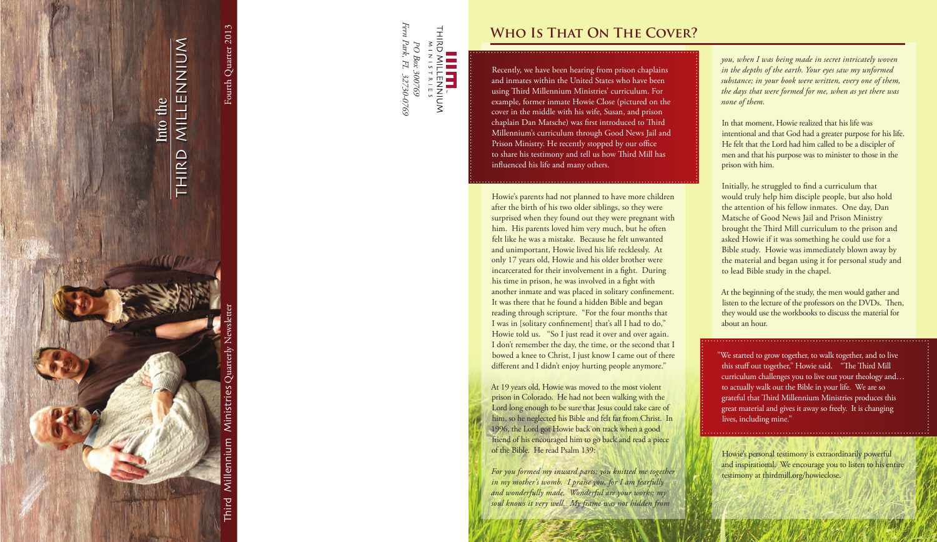



### **WHO IS THAT ON THE COVER?**

Recently, we have been hearing from prison chaplains and inmates within the United States who have been using Third Millennium Ministries' curriculum. For example, former inmate Howie Close (pictured on the cover in the middle with his wife, Susan, and prison chaplain Dan Matsche) was first introduced to Third Millennium's curriculum through Good News Jail and Prison Ministry. He recently stopped by our office to share his testimony and tell us how Third Mill has influenced his life and many others.

Howie's parents had not planned to have more children after the birth of his two older siblings, so they were surprised when they found out they were pregnant with him. His parents loved him very much, but he often felt like he was a mistake. Because he felt unwanted and unimportant, Howie lived his life recklessly. At only 17 years old, Howie and his older brother were incarcerated for their involvement in a fight. During his time in prison, he was involved in a fight with another inmate and was placed in solitary confinement. It was there that he found a hidden Bible and began reading through scripture. "For the four months that I was in [solitary confinement] that's all I had to do," Howie told us. "So I just read it over and over again. I don't remember the day, the time, or the second that I bowed a knee to Christ, I just know I came out of there different and I didn't enjoy hurting people anymore."

At 19 years old, Howie was moved to the most violent prison in Colorado. He had not been walking with the Lord long enough to be sure that Jesus could take care of him, so he neglected his Bible and felt far from Christ. In 1996, the Lord got Howie back on track when a good friend of his encouraged him to go back and read a piece of the Bible. He read Psalm 139:

*For you formed my inward parts; you knitted me together in my mother's womb. I praise you, for I am fearfully* and wonderfully made. Wonderful are your works; my soul knows it very well. My frame was not hidden from

"We started to grow together, to walk together, and to live this stuff out together," Howie said. "The Third Mill curriculum challenges you to live out your theology and... to actually walk out the Bible in your life. We are so grateful that Third Millennium Ministries produces this great material and gives it away so freely. It is changing lives, including mine."

*you, when I was being made in secret intricately woven in the depths of the earth. Your eyes saw my unformed* substance; in your book were written, every one of them, the days that were formed for me, when as yet there was *none* of them.

In that moment, Howie realized that his life was intentional and that God had a greater purpose for his life. He felt that the Lord had him called to be a discipler of men and that his purpose was to minister to those in the prison with him.

Initially, he struggled to find a curriculum that would truly help him disciple people, but also hold the attention of his fellow inmates. One day, Dan Matsche of Good News Jail and Prison Ministry brought the Third Mill curriculum to the prison and asked Howie if it was something he could use for a Bible study. Howie was immediately blown away by the material and began using it for personal study and to lead Bible study in the chapel.

At the beginning of the study, the men would gather and listen to the lecture of the professors on the DVDs. Then, they would use the workbooks to discuss the material for about an hour.

Howie's personal testimony is extraordinarily powerful and inspirational. We encourage you to listen to his entire testimony at thirdmill.org/howieclose.